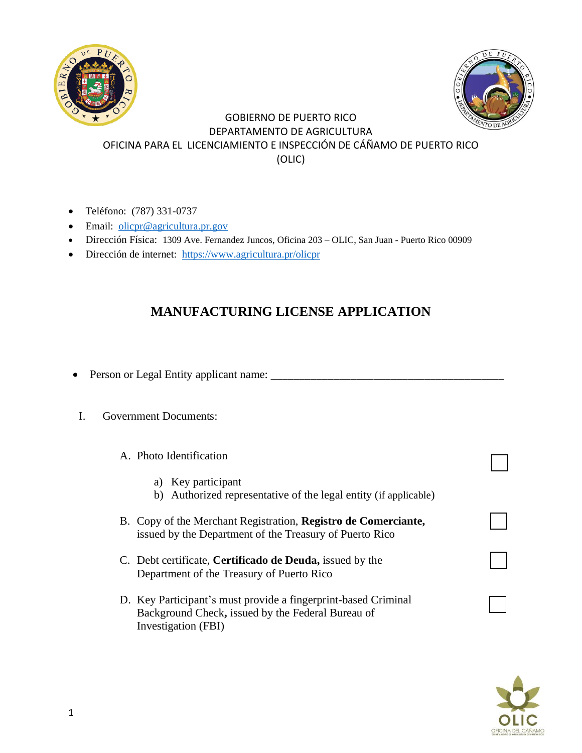



## GOBIERNO DE PUERTO RICO DEPARTAMENTO DE AGRICULTURA OFICINA PARA EL LICENCIAMIENTO E INSPECCIÓN DE CÁÑAMO DE PUERTO RICO (OLIC)

- Teléfono: (787) 331-0737
- Email: [olicpr@agricultura.pr.gov](mailto:olicpr@agricultura.pr.gov)
- Dirección Física: 1309 Ave. Fernandez Juncos, Oficina 203 OLIC, San Juan Puerto Rico 00909
- Dirección de internet: <https://www.agricultura.pr/olicpr>

## **MANUFACTURING LICENSE APPLICATION**

- Person or Legal Entity applicant name: \_\_\_\_\_\_\_\_\_\_\_\_\_\_\_\_\_\_\_\_\_\_\_\_\_\_\_\_\_\_\_\_\_\_\_\_\_\_\_\_\_
- I. Government Documents:

## A. Photo Identification

- a) Key participant
- b) Authorized representative of the legal entity (if applicable)
- B. Copy of the Merchant Registration, **Registro de Comerciante,**  issued by the Department of the Treasury of Puerto Rico
- C. Debt certificate, **Certificado de Deuda,** issued by the Department of the Treasury of Puerto Rico
- D. Key Participant's must provide a fingerprint-based Criminal Background Check**,** issued by the Federal Bureau of Investigation (FBI)

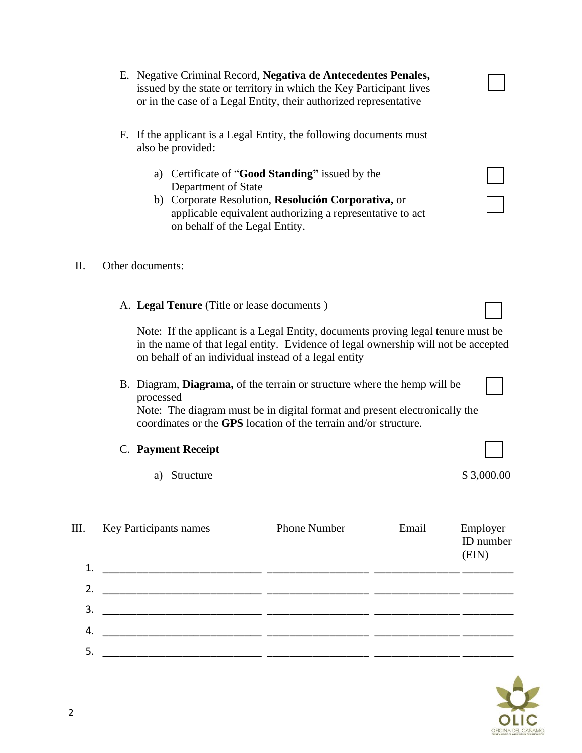2

issued by the state or territory in which the Key Participant lives or in the case of a Legal Entity, their authorized representative F. If the applicant is a Legal Entity, the following documents must also be provided: a) Certificate of "**Good Standing"** issued by the Department of State b) Corporate Resolution, **Resolución Corporativa,** or applicable equivalent authorizing a representative to act on behalf of the Legal Entity. A. **Legal Tenure** (Title or lease documents ) Note: If the applicant is a Legal Entity, documents proving legal tenure must be in the name of that legal entity. Evidence of legal ownership will not be accepted on behalf of an individual instead of a legal entity B. Diagram, **Diagrama,** of the terrain or structure where the hemp will be processed Note: The diagram must be in digital format and present electronically the coordinates or the **GPS** location of the terrain and/or structure. C. **Payment Receipt** a) Structure \$ 3,000.00 III. Key Participants names Phone Number Email Employer ID number (EIN) 1. \_\_\_\_\_\_\_\_\_\_\_\_\_\_\_\_\_\_\_\_\_\_\_\_\_\_\_\_ \_\_\_\_\_\_\_\_\_\_\_\_\_\_\_\_\_\_ \_\_\_\_\_\_\_\_\_\_\_\_\_\_\_ \_\_\_\_\_\_\_\_\_ 2. \_\_\_\_\_\_\_\_\_\_\_\_\_\_\_\_\_\_\_\_\_\_\_\_\_\_\_\_ \_\_\_\_\_\_\_\_\_\_\_\_\_\_\_\_\_\_ \_\_\_\_\_\_\_\_\_\_\_\_\_\_\_ \_\_\_\_\_\_\_\_\_ 3. \_\_\_\_\_\_\_\_\_\_\_\_\_\_\_\_\_\_\_\_\_\_\_\_\_\_\_\_ \_\_\_\_\_\_\_\_\_\_\_\_\_\_\_\_\_\_ \_\_\_\_\_\_\_\_\_\_\_\_\_\_\_ \_\_\_\_\_\_\_\_\_ 4. \_\_\_\_\_\_\_\_\_\_\_\_\_\_\_\_\_\_\_\_\_\_\_\_\_\_\_\_ \_\_\_\_\_\_\_\_\_\_\_\_\_\_\_\_\_\_ \_\_\_\_\_\_\_\_\_\_\_\_\_\_\_ \_\_\_\_\_\_\_\_\_ 5. \_\_\_\_\_\_\_\_\_\_\_\_\_\_\_\_\_\_\_\_\_\_\_\_\_\_\_\_ \_\_\_\_\_\_\_\_\_\_\_\_\_\_\_\_\_\_ \_\_\_\_\_\_\_\_\_\_\_\_\_\_\_ \_\_\_\_\_\_\_\_\_

E. Negative Criminal Record, **Negativa de Antecedentes Penales,**

## II. Other documents: